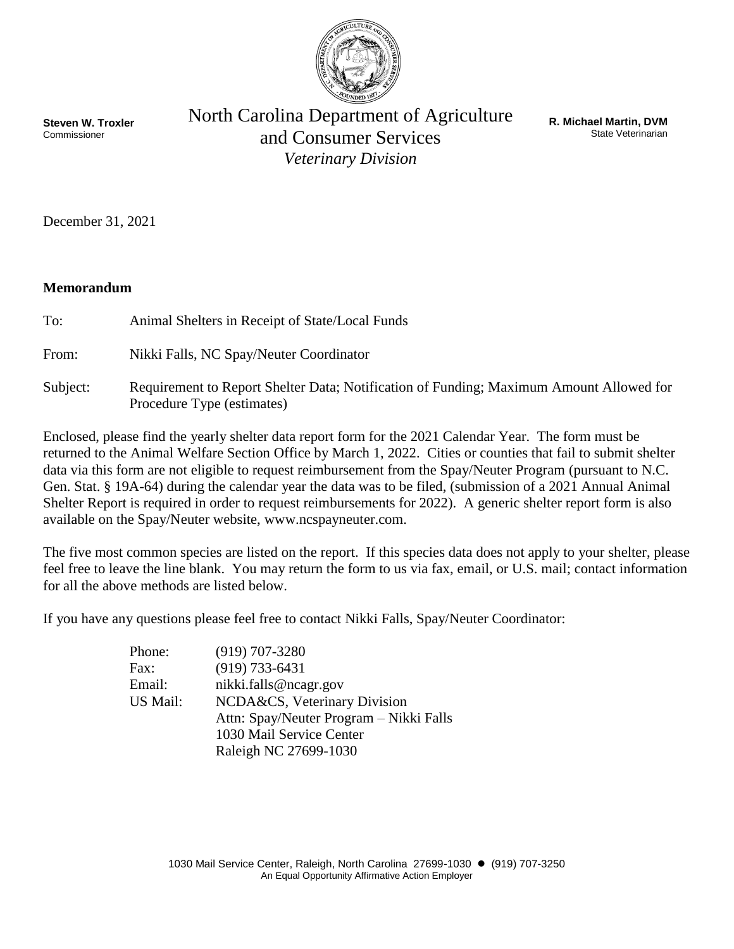

**Steven W. Troxler** Commissioner

North Carolina Department of Agriculture and Consumer Services *Veterinary Division*

**R. Michael Martin, DVM** State Veterinarian

December 31, 2021

## **Memorandum**

To: Animal Shelters in Receipt of State/Local Funds

From: Nikki Falls, NC Spay/Neuter Coordinator

Subject: Requirement to Report Shelter Data; Notification of Funding; Maximum Amount Allowed for Procedure Type (estimates)

Enclosed, please find the yearly shelter data report form for the 2021 Calendar Year. The form must be returned to the Animal Welfare Section Office by March 1, 2022. Cities or counties that fail to submit shelter data via this form are not eligible to request reimbursement from the Spay/Neuter Program (pursuant to N.C. Gen. Stat. § 19A-64) during the calendar year the data was to be filed, (submission of a 2021 Annual Animal Shelter Report is required in order to request reimbursements for 2022). A generic shelter report form is also available on the Spay/Neuter website, www.ncspayneuter.com.

The five most common species are listed on the report. If this species data does not apply to your shelter, please feel free to leave the line blank. You may return the form to us via fax, email, or U.S. mail; contact information for all the above methods are listed below.

If you have any questions please feel free to contact Nikki Falls, Spay/Neuter Coordinator:

| Phone:   | $(919)$ 707-3280                        |
|----------|-----------------------------------------|
| Fax:     | $(919) 733 - 6431$                      |
| Email:   | nikki.falls@ncagr.gov                   |
| US Mail: | NCDA&CS, Veterinary Division            |
|          | Attn: Spay/Neuter Program – Nikki Falls |
|          | 1030 Mail Service Center                |
|          | Raleigh NC 27699-1030                   |